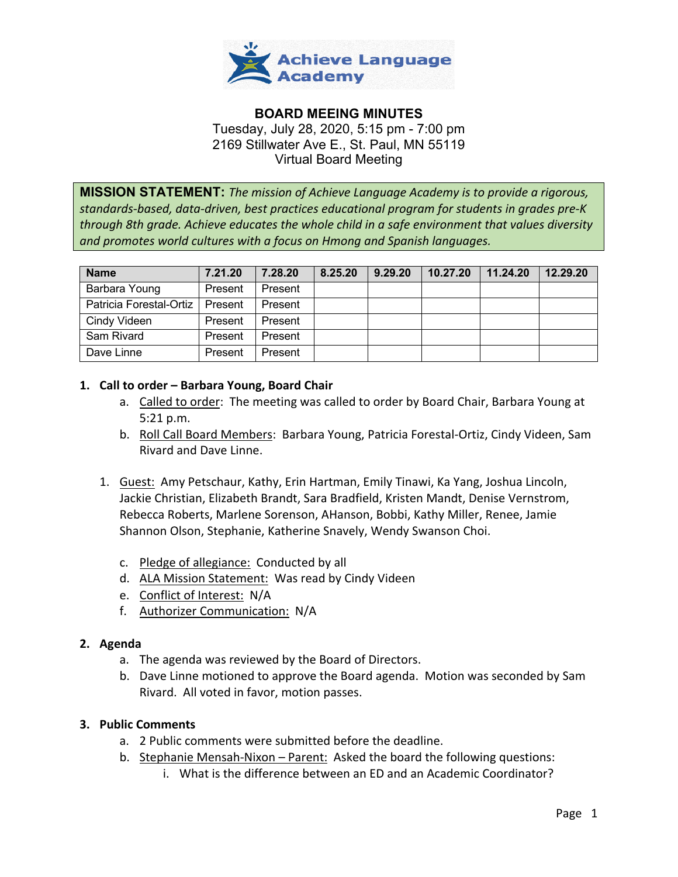

# **BOARD MEEING MINUTES** Tuesday, July 28, 2020, 5:15 pm - 7:00 pm 2169 Stillwater Ave E., St. Paul, MN 55119 Virtual Board Meeting

**MISSION STATEMENT:** *The mission of Achieve Language Academy is to provide a rigorous, standards-based, data-driven, best practices educational program for students in grades pre-K through 8th grade. Achieve educates the whole child in a safe environment that values diversity and promotes world cultures with a focus on Hmong and Spanish languages.*

| <b>Name</b>             | 7.21.20 | 7.28.20 | 8.25.20 | 9.29.20 | 10.27.20 | 11.24.20 | 12.29.20 |
|-------------------------|---------|---------|---------|---------|----------|----------|----------|
| Barbara Young           | Present | Present |         |         |          |          |          |
| Patricia Forestal-Ortiz | Present | Present |         |         |          |          |          |
| Cindy Videen            | Present | Present |         |         |          |          |          |
| Sam Rivard              | Present | Present |         |         |          |          |          |
| Dave Linne              | Present | Present |         |         |          |          |          |

## **1. Call to order – Barbara Young, Board Chair**

- a. Called to order: The meeting was called to order by Board Chair, Barbara Young at 5:21 p.m.
- b. Roll Call Board Members: Barbara Young, Patricia Forestal-Ortiz, Cindy Videen, Sam Rivard and Dave Linne.
- 1. Guest: Amy Petschaur, Kathy, Erin Hartman, Emily Tinawi, Ka Yang, Joshua Lincoln, Jackie Christian, Elizabeth Brandt, Sara Bradfield, Kristen Mandt, Denise Vernstrom, Rebecca Roberts, Marlene Sorenson, AHanson, Bobbi, Kathy Miller, Renee, Jamie Shannon Olson, Stephanie, Katherine Snavely, Wendy Swanson Choi.
	- c. Pledge of allegiance: Conducted by all
	- d. ALA Mission Statement: Was read by Cindy Videen
	- e. Conflict of Interest: N/A
	- f. Authorizer Communication: N/A

## **2. Agenda**

- a. The agenda was reviewed by the Board of Directors.
- b. Dave Linne motioned to approve the Board agenda. Motion was seconded by Sam Rivard. All voted in favor, motion passes.

## **3. Public Comments**

- a. 2 Public comments were submitted before the deadline.
- b. Stephanie Mensah-Nixon Parent: Asked the board the following questions:
	- i. What is the difference between an ED and an Academic Coordinator?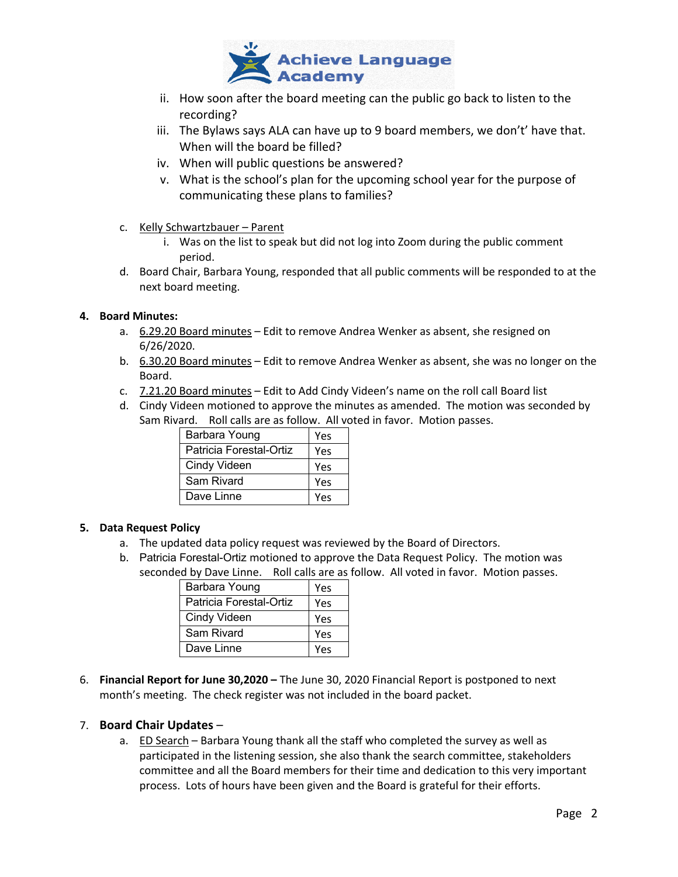

- ii. How soon after the board meeting can the public go back to listen to the recording?
- iii. The Bylaws says ALA can have up to 9 board members, we don't' have that. When will the board be filled?
- iv. When will public questions be answered?
- v. What is the school's plan for the upcoming school year for the purpose of communicating these plans to families?
- c. Kelly Schwartzbauer Parent
	- i. Was on the list to speak but did not log into Zoom during the public comment period.
- d. Board Chair, Barbara Young, responded that all public comments will be responded to at the next board meeting.

### **4. Board Minutes:**

- a. 6.29.20 Board minutes Edit to remove Andrea Wenker as absent, she resigned on 6/26/2020.
- b. 6.30.20 Board minutes Edit to remove Andrea Wenker as absent, she was no longer on the Board.
- c. 7.21.20 Board minutes Edit to Add Cindy Videen's name on the roll call Board list
- d. Cindy Videen motioned to approve the minutes as amended. The motion was seconded by Sam Rivard. Roll calls are as follow. All voted in favor. Motion passes.

| Barbara Young           | Yes |
|-------------------------|-----|
| Patricia Forestal-Ortiz | Yes |
| Cindy Videen            | Yes |
| Sam Rivard              | Yes |
| Dave Linne              | Yes |

## **5. Data Request Policy**

- a. The updated data policy request was reviewed by the Board of Directors.
- b. Patricia Forestal-Ortiz motioned to approve the Data Request Policy. The motion was seconded by Dave Linne. Roll calls are as follow. All voted in favor. Motion passes.

| Barbara Young           | Yes |
|-------------------------|-----|
| Patricia Forestal-Ortiz | Yes |
| Cindy Videen            | Yes |
| Sam Rivard              | Yes |
| Dave Linne              | Yes |

6. **Financial Report for June 30,2020 –** The June 30, 2020 Financial Report is postponed to next month's meeting. The check register was not included in the board packet.

### 7. **Board Chair Updates** –

a. **ED Search** – Barbara Young thank all the staff who completed the survey as well as participated in the listening session, she also thank the search committee, stakeholders committee and all the Board members for their time and dedication to this very important process. Lots of hours have been given and the Board is grateful for their efforts.